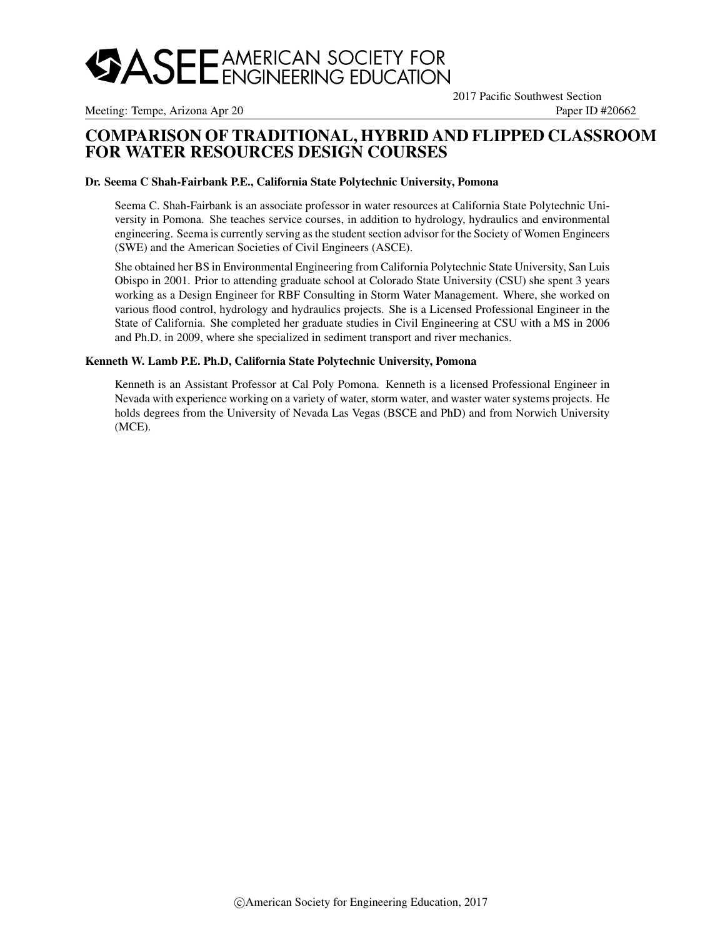

Meeting: Tempe, Arizona Apr 20 Paper ID #20662

2017 Pacific Southwest Section

## COMPARISON OF TRADITIONAL, HYBRID AND FLIPPED CLASSROOM FOR WATER RESOURCES DESIGN COURSES

#### Dr. Seema C Shah-Fairbank P.E., California State Polytechnic University, Pomona

Seema C. Shah-Fairbank is an associate professor in water resources at California State Polytechnic University in Pomona. She teaches service courses, in addition to hydrology, hydraulics and environmental engineering. Seema is currently serving as the student section advisor for the Society of Women Engineers (SWE) and the American Societies of Civil Engineers (ASCE).

She obtained her BS in Environmental Engineering from California Polytechnic State University, San Luis Obispo in 2001. Prior to attending graduate school at Colorado State University (CSU) she spent 3 years working as a Design Engineer for RBF Consulting in Storm Water Management. Where, she worked on various flood control, hydrology and hydraulics projects. She is a Licensed Professional Engineer in the State of California. She completed her graduate studies in Civil Engineering at CSU with a MS in 2006 and Ph.D. in 2009, where she specialized in sediment transport and river mechanics.

#### Kenneth W. Lamb P.E. Ph.D, California State Polytechnic University, Pomona

Kenneth is an Assistant Professor at Cal Poly Pomona. Kenneth is a licensed Professional Engineer in Nevada with experience working on a variety of water, storm water, and waster water systems projects. He holds degrees from the University of Nevada Las Vegas (BSCE and PhD) and from Norwich University (MCE).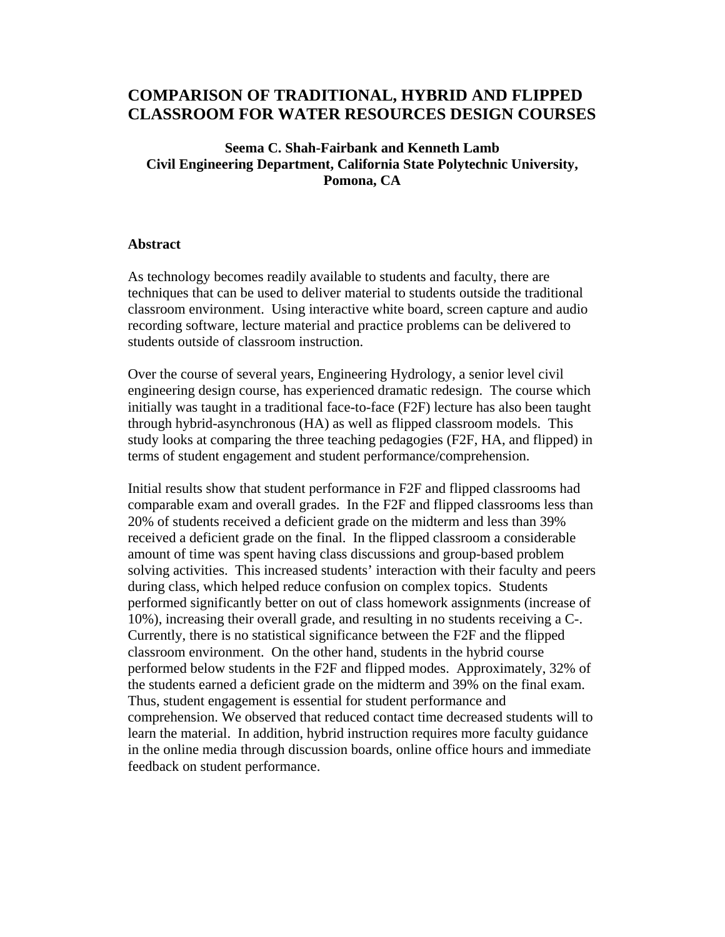# **COMPARISON OF TRADITIONAL, HYBRID AND FLIPPED CLASSROOM FOR WATER RESOURCES DESIGN COURSES**

#### **Seema C. Shah-Fairbank and Kenneth Lamb Civil Engineering Department, California State Polytechnic University, Pomona, CA**

#### **Abstract**

As technology becomes readily available to students and faculty, there are techniques that can be used to deliver material to students outside the traditional classroom environment. Using interactive white board, screen capture and audio recording software, lecture material and practice problems can be delivered to students outside of classroom instruction.

Over the course of several years, Engineering Hydrology, a senior level civil engineering design course, has experienced dramatic redesign. The course which initially was taught in a traditional face-to-face (F2F) lecture has also been taught through hybrid-asynchronous (HA) as well as flipped classroom models. This study looks at comparing the three teaching pedagogies (F2F, HA, and flipped) in terms of student engagement and student performance/comprehension.

Initial results show that student performance in F2F and flipped classrooms had comparable exam and overall grades. In the F2F and flipped classrooms less than 20% of students received a deficient grade on the midterm and less than 39% received a deficient grade on the final. In the flipped classroom a considerable amount of time was spent having class discussions and group-based problem solving activities. This increased students' interaction with their faculty and peers during class, which helped reduce confusion on complex topics. Students performed significantly better on out of class homework assignments (increase of 10%), increasing their overall grade, and resulting in no students receiving a C-. Currently, there is no statistical significance between the F2F and the flipped classroom environment. On the other hand, students in the hybrid course performed below students in the F2F and flipped modes. Approximately, 32% of the students earned a deficient grade on the midterm and 39% on the final exam. Thus, student engagement is essential for student performance and comprehension. We observed that reduced contact time decreased students will to learn the material. In addition, hybrid instruction requires more faculty guidance in the online media through discussion boards, online office hours and immediate feedback on student performance.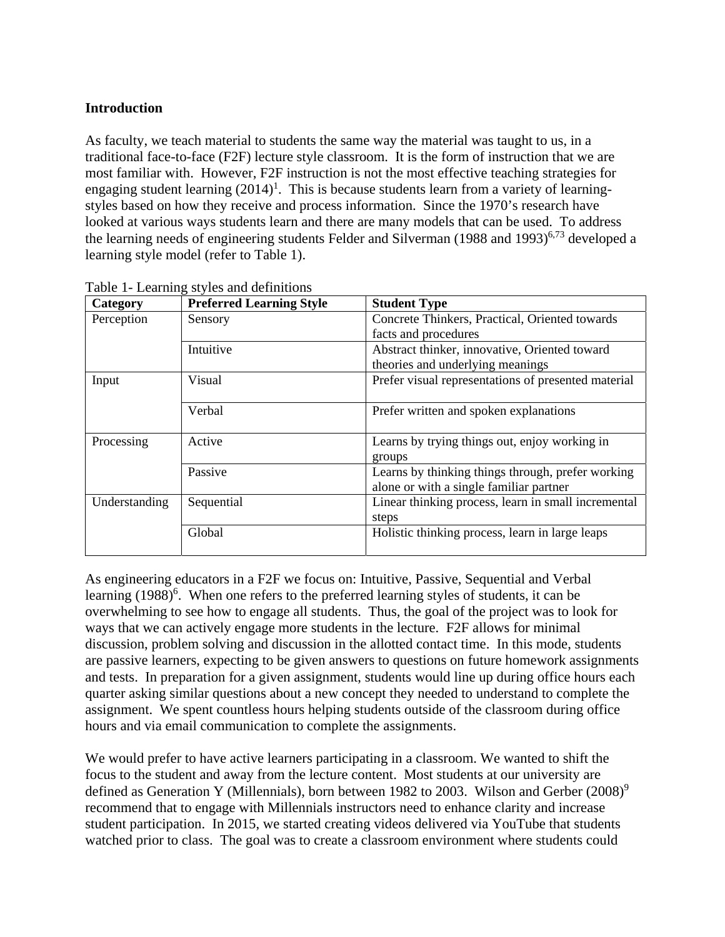## **Introduction**

As faculty, we teach material to students the same way the material was taught to us, in a traditional face-to-face (F2F) lecture style classroom. It is the form of instruction that we are most familiar with. However, F2F instruction is not the most effective teaching strategies for engaging student learning  $(2014)^1$ . This is because students learn from a variety of learningstyles based on how they receive and process information. Since the 1970's research have looked at various ways students learn and there are many models that can be used. To address the learning needs of engineering students Felder and Silverman  $(1988 \text{ and } 1993)^{6,73}$  developed a learning style model (refer to Table 1).

| Category      | <b>Preferred Learning Style</b> | <b>Student Type</b>                                     |  |  |  |
|---------------|---------------------------------|---------------------------------------------------------|--|--|--|
| Perception    | Sensory                         | Concrete Thinkers, Practical, Oriented towards          |  |  |  |
|               |                                 | facts and procedures                                    |  |  |  |
|               | Intuitive                       | Abstract thinker, innovative, Oriented toward           |  |  |  |
|               |                                 | theories and underlying meanings                        |  |  |  |
| Input         | Visual                          | Prefer visual representations of presented material     |  |  |  |
|               | Verbal                          | Prefer written and spoken explanations                  |  |  |  |
| Processing    | Active                          | Learns by trying things out, enjoy working in<br>groups |  |  |  |
|               | Passive                         | Learns by thinking things through, prefer working       |  |  |  |
|               |                                 | alone or with a single familiar partner                 |  |  |  |
| Understanding | Sequential                      | Linear thinking process, learn in small incremental     |  |  |  |
|               |                                 | steps                                                   |  |  |  |
|               | Global                          | Holistic thinking process, learn in large leaps         |  |  |  |

Table 1- Learning styles and definitions

As engineering educators in a F2F we focus on: Intuitive, Passive, Sequential and Verbal learning (1988)<sup>6</sup>. When one refers to the preferred learning styles of students, it can be overwhelming to see how to engage all students. Thus, the goal of the project was to look for ways that we can actively engage more students in the lecture. F2F allows for minimal discussion, problem solving and discussion in the allotted contact time. In this mode, students are passive learners, expecting to be given answers to questions on future homework assignments and tests. In preparation for a given assignment, students would line up during office hours each quarter asking similar questions about a new concept they needed to understand to complete the assignment. We spent countless hours helping students outside of the classroom during office hours and via email communication to complete the assignments.

We would prefer to have active learners participating in a classroom. We wanted to shift the focus to the student and away from the lecture content. Most students at our university are defined as Generation Y (Millennials), born between 1982 to 2003. Wilson and Gerber (2008)<sup>9</sup> recommend that to engage with Millennials instructors need to enhance clarity and increase student participation. In 2015, we started creating videos delivered via YouTube that students watched prior to class. The goal was to create a classroom environment where students could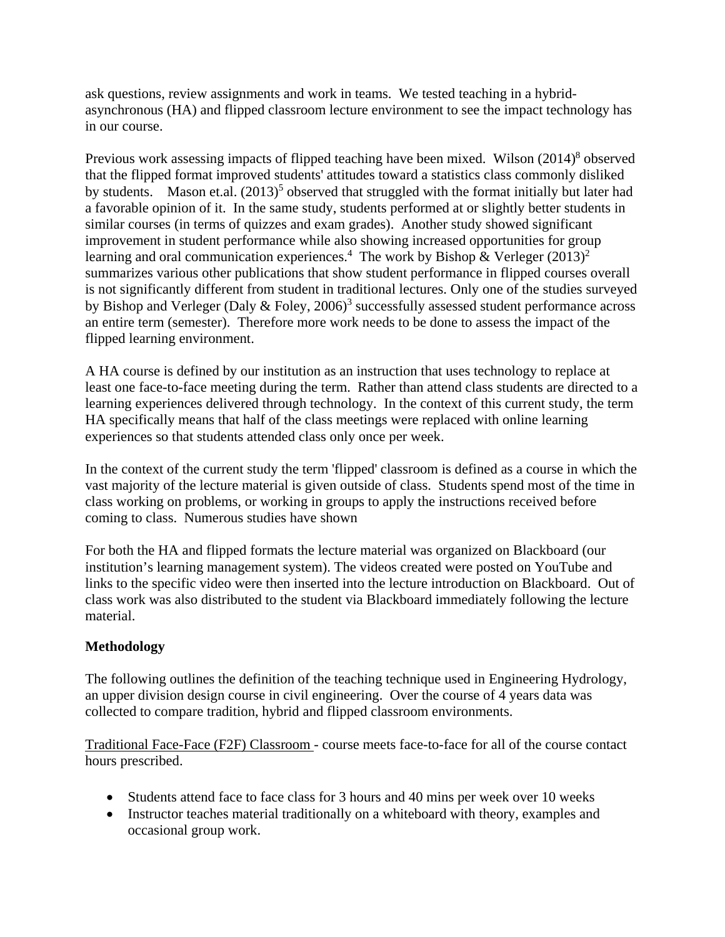ask questions, review assignments and work in teams. We tested teaching in a hybridasynchronous (HA) and flipped classroom lecture environment to see the impact technology has in our course.

Previous work assessing impacts of flipped teaching have been mixed. Wilson (2014)<sup>8</sup> observed that the flipped format improved students' attitudes toward a statistics class commonly disliked by students. Mason et.al.  $(2013)^5$  observed that struggled with the format initially but later had a favorable opinion of it. In the same study, students performed at or slightly better students in similar courses (in terms of quizzes and exam grades). Another study showed significant improvement in student performance while also showing increased opportunities for group learning and oral communication experiences.<sup>4</sup> The work by Bishop & Verleger  $(2013)^2$ summarizes various other publications that show student performance in flipped courses overall is not significantly different from student in traditional lectures. Only one of the studies surveyed by Bishop and Verleger (Daly & Foley,  $2006$ )<sup>3</sup> successfully assessed student performance across an entire term (semester). Therefore more work needs to be done to assess the impact of the flipped learning environment.

A HA course is defined by our institution as an instruction that uses technology to replace at least one face-to-face meeting during the term. Rather than attend class students are directed to a learning experiences delivered through technology. In the context of this current study, the term HA specifically means that half of the class meetings were replaced with online learning experiences so that students attended class only once per week.

In the context of the current study the term 'flipped' classroom is defined as a course in which the vast majority of the lecture material is given outside of class. Students spend most of the time in class working on problems, or working in groups to apply the instructions received before coming to class. Numerous studies have shown

For both the HA and flipped formats the lecture material was organized on Blackboard (our institution's learning management system). The videos created were posted on YouTube and links to the specific video were then inserted into the lecture introduction on Blackboard. Out of class work was also distributed to the student via Blackboard immediately following the lecture material.

## **Methodology**

The following outlines the definition of the teaching technique used in Engineering Hydrology, an upper division design course in civil engineering. Over the course of 4 years data was collected to compare tradition, hybrid and flipped classroom environments.

Traditional Face-Face (F2F) Classroom - course meets face-to-face for all of the course contact hours prescribed.

- Students attend face to face class for 3 hours and 40 mins per week over 10 weeks
- Instructor teaches material traditionally on a whiteboard with theory, examples and occasional group work.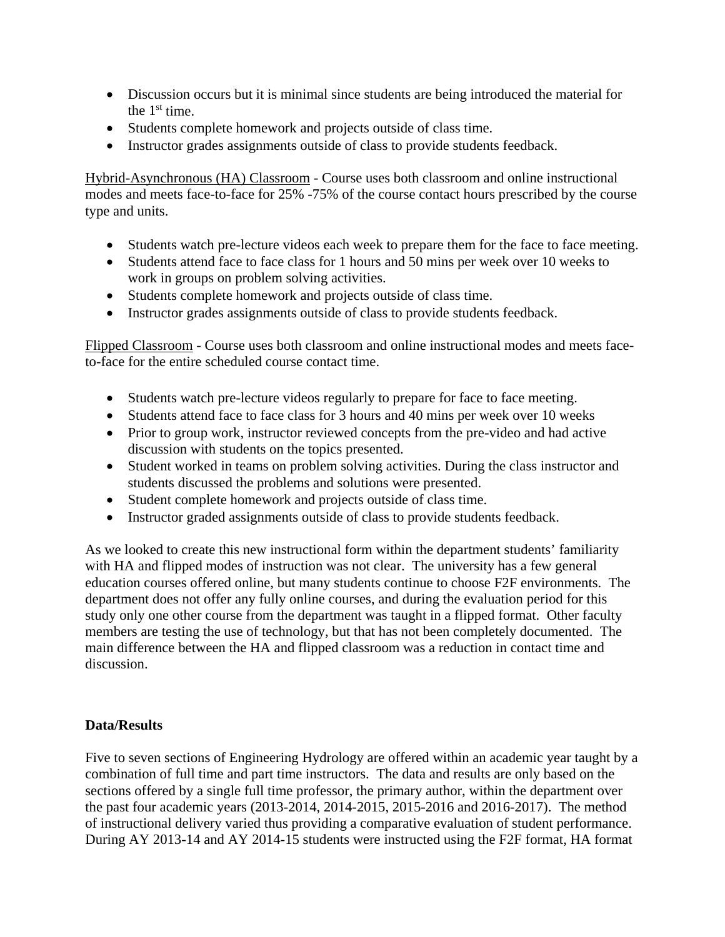- Discussion occurs but it is minimal since students are being introduced the material for the  $1<sup>st</sup>$  time.
- Students complete homework and projects outside of class time.
- Instructor grades assignments outside of class to provide students feedback.

Hybrid-Asynchronous (HA) Classroom - Course uses both classroom and online instructional modes and meets face-to-face for 25% -75% of the course contact hours prescribed by the course type and units.

- Students watch pre-lecture videos each week to prepare them for the face to face meeting.
- Students attend face to face class for 1 hours and 50 mins per week over 10 weeks to work in groups on problem solving activities.
- Students complete homework and projects outside of class time.
- Instructor grades assignments outside of class to provide students feedback.

Flipped Classroom - Course uses both classroom and online instructional modes and meets faceto-face for the entire scheduled course contact time.

- Students watch pre-lecture videos regularly to prepare for face to face meeting.
- Students attend face to face class for 3 hours and 40 mins per week over 10 weeks
- Prior to group work, instructor reviewed concepts from the pre-video and had active discussion with students on the topics presented.
- Student worked in teams on problem solving activities. During the class instructor and students discussed the problems and solutions were presented.
- Student complete homework and projects outside of class time.
- Instructor graded assignments outside of class to provide students feedback.

As we looked to create this new instructional form within the department students' familiarity with HA and flipped modes of instruction was not clear. The university has a few general education courses offered online, but many students continue to choose F2F environments. The department does not offer any fully online courses, and during the evaluation period for this study only one other course from the department was taught in a flipped format. Other faculty members are testing the use of technology, but that has not been completely documented. The main difference between the HA and flipped classroom was a reduction in contact time and discussion.

## **Data/Results**

Five to seven sections of Engineering Hydrology are offered within an academic year taught by a combination of full time and part time instructors. The data and results are only based on the sections offered by a single full time professor, the primary author, within the department over the past four academic years (2013-2014, 2014-2015, 2015-2016 and 2016-2017). The method of instructional delivery varied thus providing a comparative evaluation of student performance. During AY 2013-14 and AY 2014-15 students were instructed using the F2F format, HA format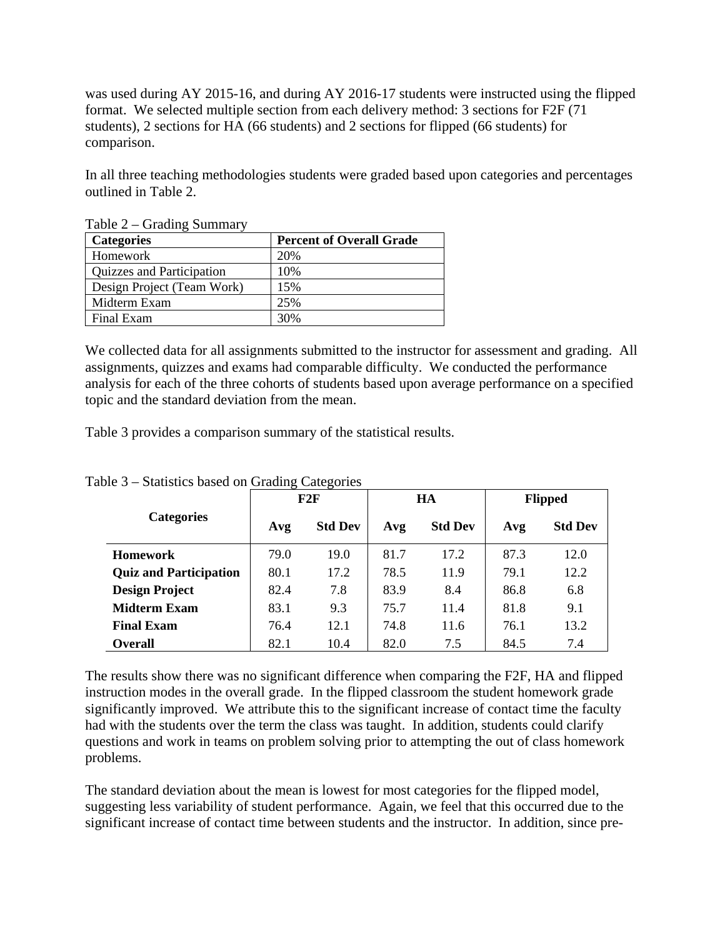was used during AY 2015-16, and during AY 2016-17 students were instructed using the flipped format. We selected multiple section from each delivery method: 3 sections for F2F (71 students), 2 sections for HA (66 students) and 2 sections for flipped (66 students) for comparison.

In all three teaching methodologies students were graded based upon categories and percentages outlined in Table 2.

| <b>Categories</b>          | <b>Percent of Overall Grade</b> |  |  |  |
|----------------------------|---------------------------------|--|--|--|
| Homework                   | 20%                             |  |  |  |
| Quizzes and Participation  | 10%                             |  |  |  |
| Design Project (Team Work) | 15%                             |  |  |  |
| Midterm Exam               | 25%                             |  |  |  |
| Final Exam                 | 30%                             |  |  |  |

Table 2 – Grading Summary

We collected data for all assignments submitted to the instructor for assessment and grading. All assignments, quizzes and exams had comparable difficulty. We conducted the performance analysis for each of the three cohorts of students based upon average performance on a specified topic and the standard deviation from the mean.

Table 3 provides a comparison summary of the statistical results.

|                               | F2F  |                | HA   |                | <b>Flipped</b> |                |
|-------------------------------|------|----------------|------|----------------|----------------|----------------|
| <b>Categories</b>             | Avg  | <b>Std Dev</b> | Avg  | <b>Std Dev</b> | Avg            | <b>Std Dev</b> |
| <b>Homework</b>               | 79.0 | 19.0           | 81.7 | 17.2           | 87.3           | 12.0           |
| <b>Quiz and Participation</b> | 80.1 | 17.2           | 78.5 | 11.9           | 79.1           | 12.2           |
| <b>Design Project</b>         | 82.4 | 7.8            | 83.9 | 8.4            | 86.8           | 6.8            |
| <b>Midterm Exam</b>           | 83.1 | 9.3            | 75.7 | 11.4           | 81.8           | 9.1            |
| <b>Final Exam</b>             | 76.4 | 12.1           | 74.8 | 11.6           | 76.1           | 13.2           |
| <b>Overall</b>                | 82.1 | 10.4           | 82.0 | 7.5            | 84.5           | 7.4            |

Table 3 – Statistics based on Grading Categories

The results show there was no significant difference when comparing the F2F, HA and flipped instruction modes in the overall grade. In the flipped classroom the student homework grade significantly improved. We attribute this to the significant increase of contact time the faculty had with the students over the term the class was taught. In addition, students could clarify questions and work in teams on problem solving prior to attempting the out of class homework problems.

The standard deviation about the mean is lowest for most categories for the flipped model, suggesting less variability of student performance. Again, we feel that this occurred due to the significant increase of contact time between students and the instructor. In addition, since pre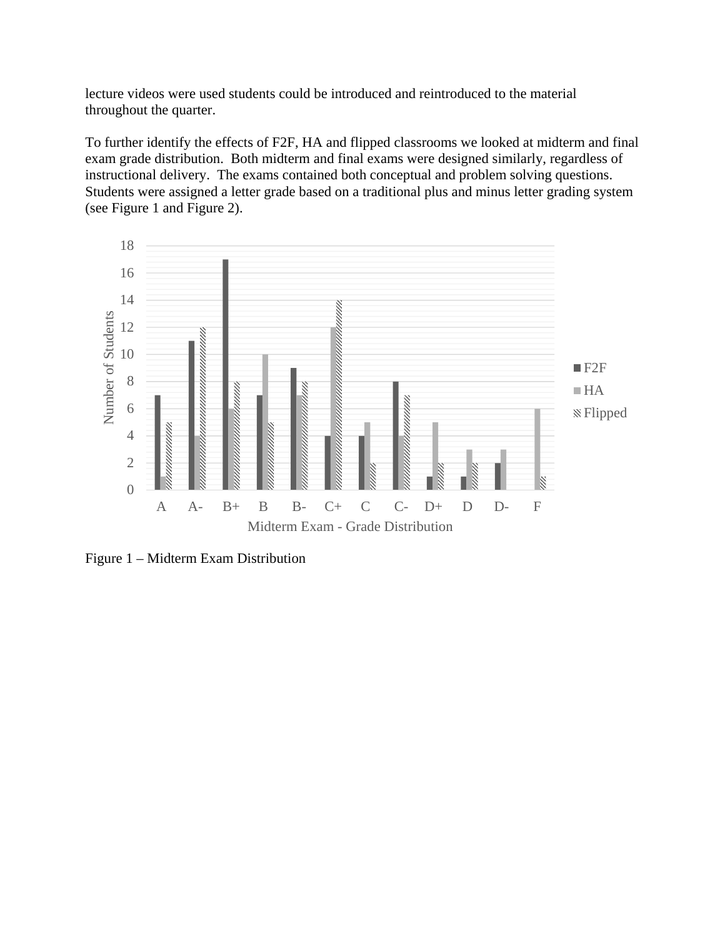lecture videos were used students could be introduced and reintroduced to the material throughout the quarter.

To further identify the effects of F2F, HA and flipped classrooms we looked at midterm and final exam grade distribution. Both midterm and final exams were designed similarly, regardless of instructional delivery. The exams contained both conceptual and problem solving questions. Students were assigned a letter grade based on a traditional plus and minus letter grading system (see Figure 1 and Figure 2).



Figure 1 – Midterm Exam Distribution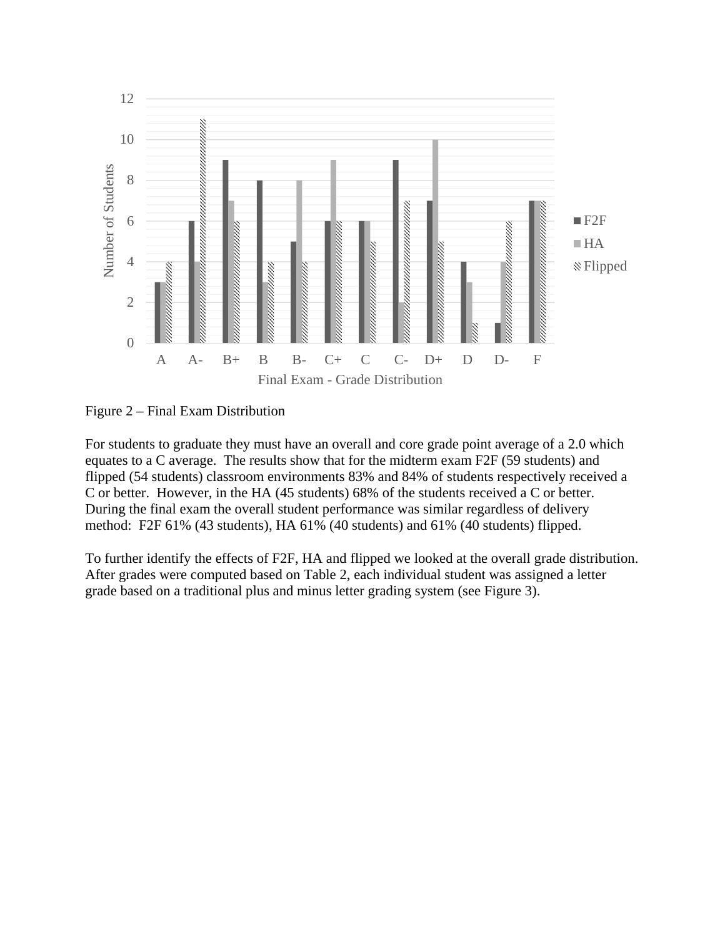

Figure 2 – Final Exam Distribution

For students to graduate they must have an overall and core grade point average of a 2.0 which equates to a C average. The results show that for the midterm exam F2F (59 students) and flipped (54 students) classroom environments 83% and 84% of students respectively received a C or better. However, in the HA (45 students) 68% of the students received a C or better. During the final exam the overall student performance was similar regardless of delivery method: F2F 61% (43 students), HA 61% (40 students) and 61% (40 students) flipped.

To further identify the effects of F2F, HA and flipped we looked at the overall grade distribution. After grades were computed based on Table 2, each individual student was assigned a letter grade based on a traditional plus and minus letter grading system (see Figure 3).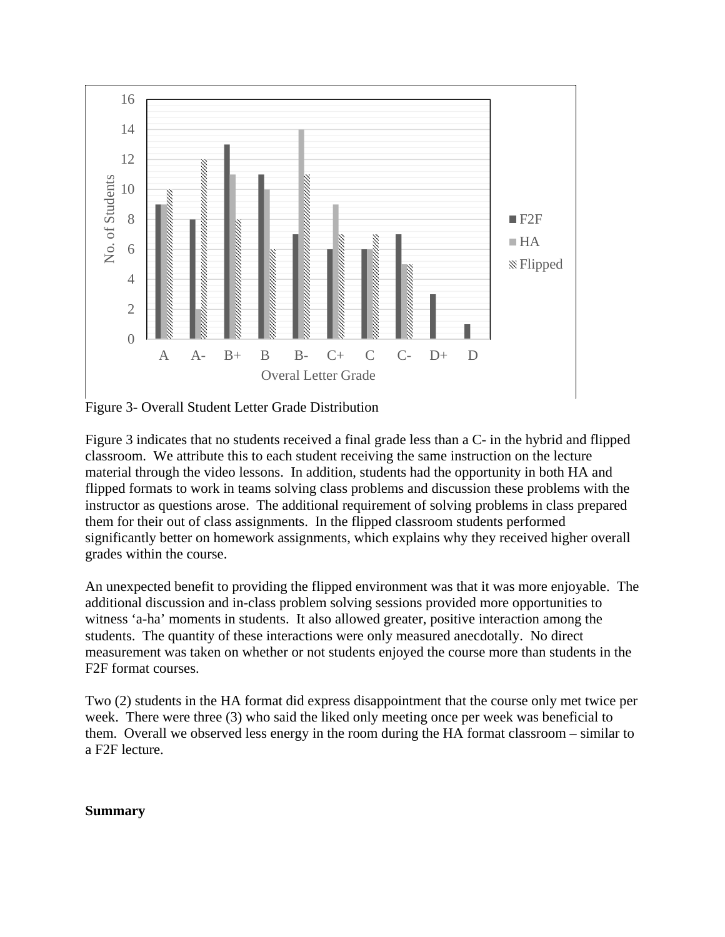

Figure 3- Overall Student Letter Grade Distribution

Figure 3 indicates that no students received a final grade less than a C- in the hybrid and flipped classroom. We attribute this to each student receiving the same instruction on the lecture material through the video lessons. In addition, students had the opportunity in both HA and flipped formats to work in teams solving class problems and discussion these problems with the instructor as questions arose. The additional requirement of solving problems in class prepared them for their out of class assignments. In the flipped classroom students performed significantly better on homework assignments, which explains why they received higher overall grades within the course.

An unexpected benefit to providing the flipped environment was that it was more enjoyable. The additional discussion and in-class problem solving sessions provided more opportunities to witness 'a-ha' moments in students. It also allowed greater, positive interaction among the students. The quantity of these interactions were only measured anecdotally. No direct measurement was taken on whether or not students enjoyed the course more than students in the F2F format courses.

Two (2) students in the HA format did express disappointment that the course only met twice per week. There were three (3) who said the liked only meeting once per week was beneficial to them. Overall we observed less energy in the room during the HA format classroom – similar to a F2F lecture.

#### **Summary**